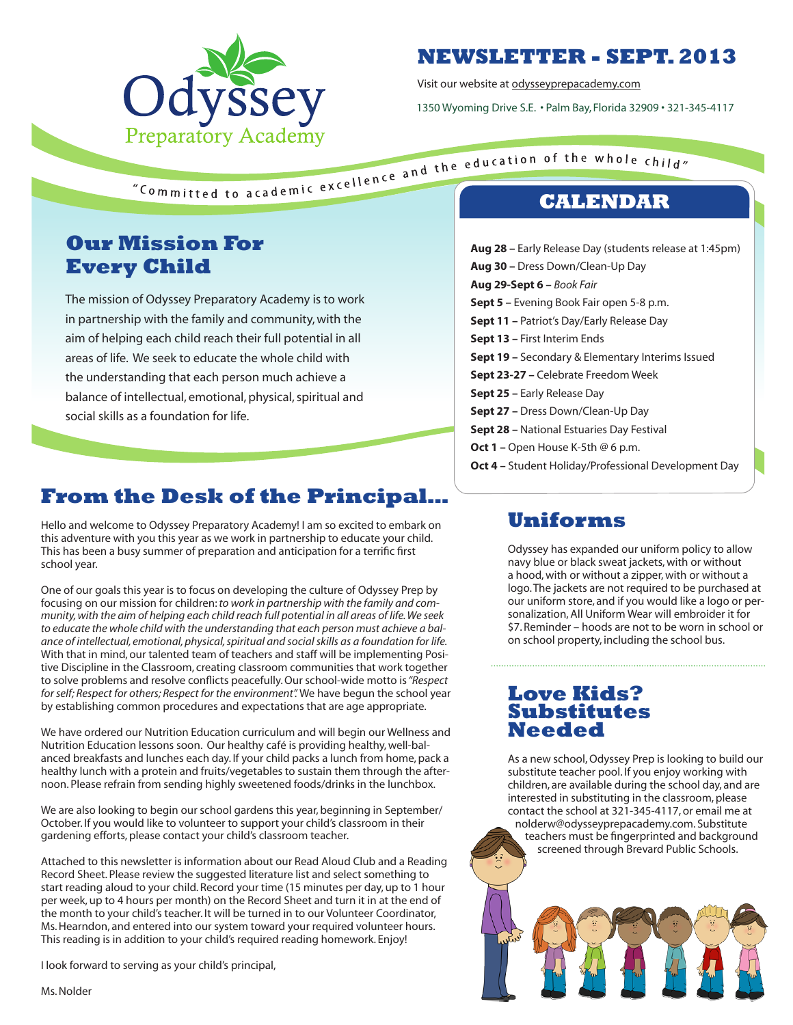

## **NEWSLETTER - SEPT. 2013**

Visit our website at odysseyprepacademy.com

1350 Wyoming Drive S.E. • Palm Bay, Florida 32909 • 321-345-4117

# **Our Mission For Every Child**

The mission of Odyssey Preparatory Academy is to work in partnership with the family and community, with the aim of helping each child reach their full potential in all areas of life. We seek to educate the whole child with the understanding that each person much achieve a balance of intellectual, emotional, physical, spiritual and social skills as a foundation for life.

# **From the Desk of the Principal…**

Hello and welcome to Odyssey Preparatory Academy! I am so excited to embark on this adventure with you this year as we work in partnership to educate your child. This has been a busy summer of preparation and anticipation for a terrific first school year.

One of our goals this year is to focus on developing the culture of Odyssey Prep by focusing on our mission for children: *to work in partnership with the family and community, with the aim of helping each child reach full potential in all areas of life. We seek to educate the whole child with the understanding that each person must achieve a balance of intellectual, emotional, physical, spiritual and social skills as a foundation for life.*  With that in mind, our talented team of teachers and staff will be implementing Positive Discipline in the Classroom, creating classroom communities that work together to solve problems and resolve conflicts peacefully. Our school-wide motto is *"Respect for self; Respect for others; Respect for the environment".* We have begun the school year by establishing common procedures and expectations that are age appropriate.

We have ordered our Nutrition Education curriculum and will begin our Wellness and Nutrition Education lessons soon. Our healthy café is providing healthy, well-balanced breakfasts and lunches each day. If your child packs a lunch from home, pack a healthy lunch with a protein and fruits/vegetables to sustain them through the afternoon. Please refrain from sending highly sweetened foods/drinks in the lunchbox.

We are also looking to begin our school gardens this year, beginning in September/ October. If you would like to volunteer to support your child's classroom in their gardening efforts, please contact your child's classroom teacher.

Attached to this newsletter is information about our Read Aloud Club and a Reading Record Sheet. Please review the suggested literature list and select something to start reading aloud to your child. Record your time (15 minutes per day, up to 1 hour per week, up to 4 hours per month) on the Record Sheet and turn it in at the end of the month to your child's teacher. It will be turned in to our Volunteer Coordinator, Ms. Hearndon, and entered into our system toward your required volunteer hours. This reading is in addition to your child's required reading homework. Enjoy!

I look forward to serving as your child's principal,

"Committed to academic excellence and the education of the whole child"

**Aug 28 –** Early Release Day (students release at 1:45pm) **Aug 30 –** Dress Down/Clean-Up Day **Aug 29-Sept 6 –** *Book Fair* **Sept 5 –** Evening Book Fair open 5-8 p.m. **Sept 11 –** Patriot's Day/Early Release Day **Sept 13 –** First Interim Ends **Sept 19 –** Secondary & Elementary Interims Issued **Sept 23-27 –** Celebrate Freedom Week **Sept 25 –** Early Release Day **Sept 27 –** Dress Down/Clean-Up Day **Sept 28 –** National Estuaries Day Festival **Oct 1 –** Open House K-5th @ 6 p.m. **Oct 4 –** Student Holiday/Professional Development Day

# **Uniforms**

Odyssey has expanded our uniform policy to allow navy blue or black sweat jackets, with or without a hood, with or without a zipper, with or without a logo. The jackets are not required to be purchased at our uniform store, and if you would like a logo or personalization, All Uniform Wear will embroider it for \$7. Reminder – hoods are not to be worn in school or on school property, including the school bus.

### **Love Kids? Substitutes Needed**

As a new school, Odyssey Prep is looking to build our substitute teacher pool. If you enjoy working with children, are available during the school day, and are interested in substituting in the classroom, please contact the school at 321-345-4117, or email me at nolderw@odysseyprepacademy.com. Substitute teachers must be fingerprinted and background screened through Brevard Public Schools.